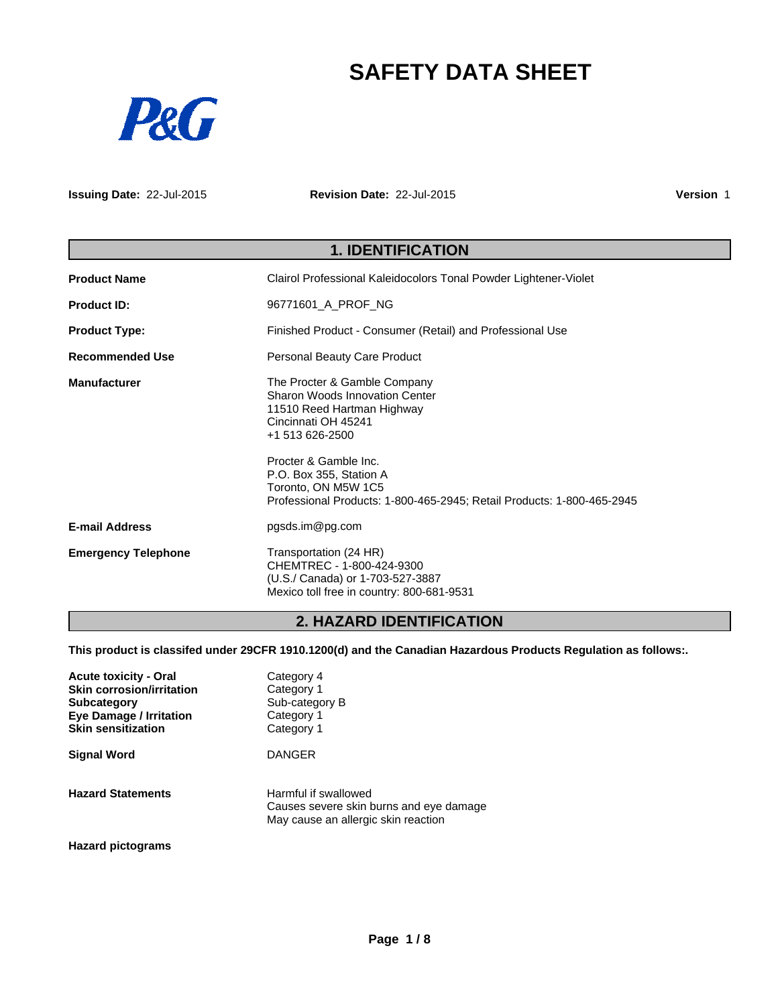# **SAFETY DATA SHEET**



**Issuing Date:** 22-Jul-2015

**Revision Date:** 22-Jul-2015

**Version** 1

# **1. IDENTIFICATION Product Name** Clairol Professional Kaleidocolors Tonal Powder Lightener-Violet **Product ID:** 96771601\_A\_PROF\_NG **Product Type:** Finished Product - Consumer (Retail) and Professional Use **Recommended Use** Personal Beauty Care Product **Manufacturer** The Procter & Gamble Company Sharon Woods Innovation Center 11510 Reed Hartman Highway Cincinnati OH 45241 +1 513 626-2500 Procter & Gamble Inc. P.O. Box 355, Station A Toronto, ON M5W 1C5 Professional Products: 1-800-465-2945; Retail Products: 1-800-465-2945 **E-mail Address** pgsds.im@pg.com **Emergency Telephone** Transportation (24 HR) CHEMTREC - 1-800-424-9300 (U.S./ Canada) or 1-703-527-3887 Mexico toll free in country: 800-681-9531

### **2. HAZARD IDENTIFICATION**

**This product is classifed under 29CFR 1910.1200(d) and the Canadian Hazardous Products Regulation as follows:.**

| <b>Acute toxicity - Oral</b><br><b>Skin corrosion/irritation</b><br><b>Subcategory</b><br><b>Eye Damage / Irritation</b><br><b>Skin sensitization</b> | Category 4<br>Category 1<br>Sub-category B<br>Category 1<br>Category 1                                 |
|-------------------------------------------------------------------------------------------------------------------------------------------------------|--------------------------------------------------------------------------------------------------------|
| <b>Signal Word</b>                                                                                                                                    | <b>DANGER</b>                                                                                          |
| <b>Hazard Statements</b>                                                                                                                              | Harmful if swallowed<br>Causes severe skin burns and eye damage<br>May cause an allergic skin reaction |

**Hazard pictograms**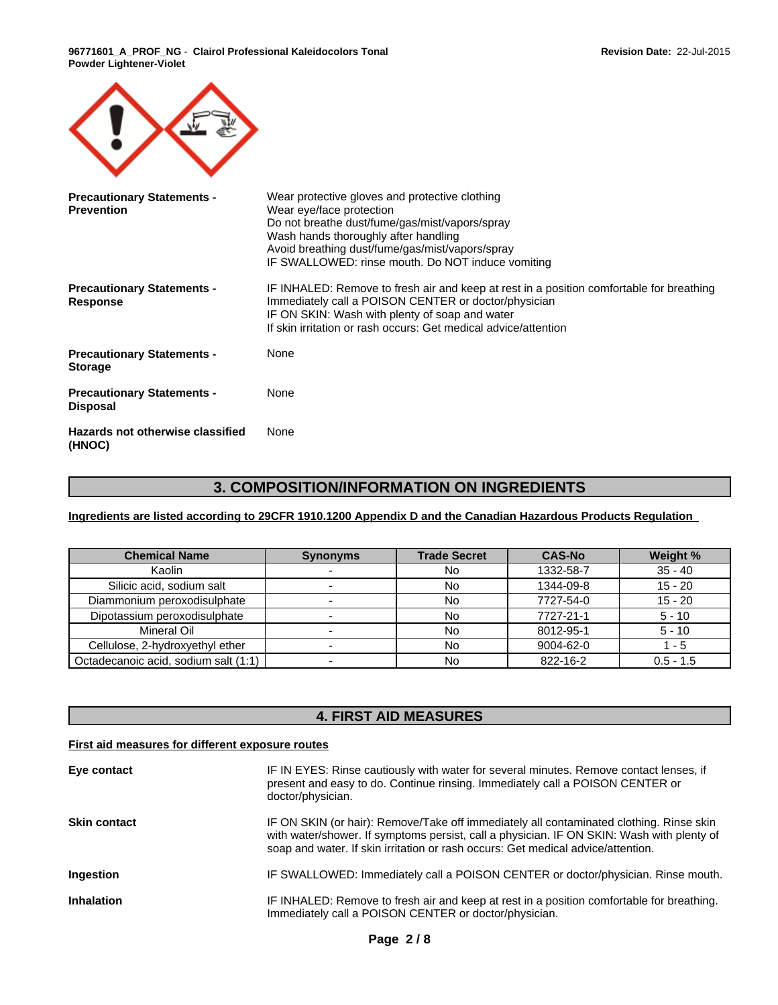

| <b>Precautionary Statements -</b><br><b>Prevention</b> | Wear protective gloves and protective clothing<br>Wear eye/face protection<br>Do not breathe dust/fume/gas/mist/vapors/spray<br>Wash hands thoroughly after handling<br>Avoid breathing dust/fume/gas/mist/vapors/spray<br>IF SWALLOWED: rinse mouth. Do NOT induce vomiting |
|--------------------------------------------------------|------------------------------------------------------------------------------------------------------------------------------------------------------------------------------------------------------------------------------------------------------------------------------|
| <b>Precautionary Statements -</b><br><b>Response</b>   | IF INHALED: Remove to fresh air and keep at rest in a position comfortable for breathing<br>Immediately call a POISON CENTER or doctor/physician<br>IF ON SKIN: Wash with plenty of soap and water<br>If skin irritation or rash occurs: Get medical advice/attention        |
| <b>Precautionary Statements -</b><br><b>Storage</b>    | None                                                                                                                                                                                                                                                                         |
| <b>Precautionary Statements -</b><br><b>Disposal</b>   | None                                                                                                                                                                                                                                                                         |
| Hazards not otherwise classified<br>(HNOC)             | None                                                                                                                                                                                                                                                                         |

# **3. COMPOSITION/INFORMATION ON INGREDIENTS**

**Ingredients are listed according to 29CFR 1910.1200 Appendix D and the Canadian Hazardous Products Regulation** 

| <b>Chemical Name</b>                 | <b>Synonyms</b> | <b>Trade Secret</b> | <b>CAS-No</b> | Weight %    |
|--------------------------------------|-----------------|---------------------|---------------|-------------|
| Kaolin                               |                 | No                  | 1332-58-7     | $35 - 40$   |
| Silicic acid, sodium salt            |                 | No                  | 1344-09-8     | $15 - 20$   |
| Diammonium peroxodisulphate          |                 | No                  | 7727-54-0     | $15 - 20$   |
| Dipotassium peroxodisulphate         |                 | No                  | 7727-21-1     | $5 - 10$    |
| Mineral Oil                          |                 | <b>No</b>           | 8012-95-1     | $5 - 10$    |
| Cellulose, 2-hydroxyethyl ether      |                 | <b>No</b>           | 9004-62-0     | 1 - 5       |
| Octadecanoic acid, sodium salt (1:1) |                 | No                  | 822-16-2      | $0.5 - 1.5$ |

### **4. FIRST AID MEASURES**

### **First aid measures for different exposure routes**

| Eye contact         | IF IN EYES: Rinse cautiously with water for several minutes. Remove contact lenses, if<br>present and easy to do. Continue rinsing. Immediately call a POISON CENTER or<br>doctor/physician.                                                                             |
|---------------------|--------------------------------------------------------------------------------------------------------------------------------------------------------------------------------------------------------------------------------------------------------------------------|
| <b>Skin contact</b> | IF ON SKIN (or hair): Remove/Take off immediately all contaminated clothing. Rinse skin<br>with water/shower. If symptoms persist, call a physician. IF ON SKIN: Wash with plenty of<br>soap and water. If skin irritation or rash occurs: Get medical advice/attention. |
| Ingestion           | IF SWALLOWED: Immediately call a POISON CENTER or doctor/physician. Rinse mouth.                                                                                                                                                                                         |
| <b>Inhalation</b>   | IF INHALED: Remove to fresh air and keep at rest in a position comfortable for breathing.<br>Immediately call a POISON CENTER or doctor/physician.                                                                                                                       |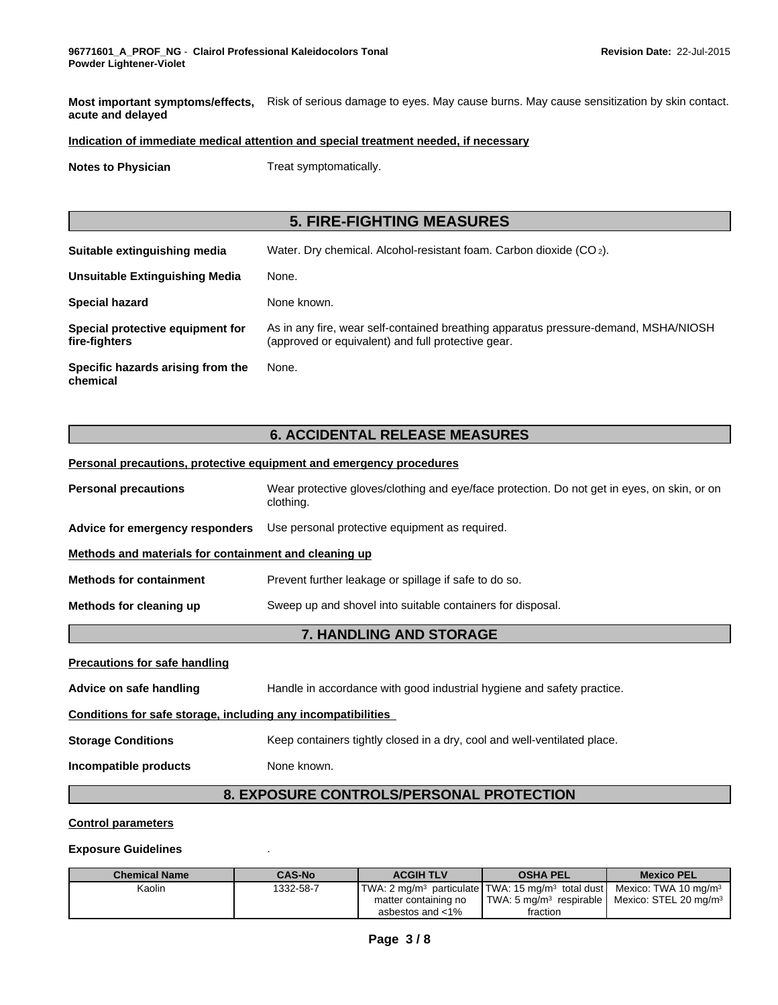**Most important symptoms/effects,** Risk of serious damage to eyes. May cause burns. May cause sensitization by skin contact. **acute and delayed**

### **Indication of immediate medical attention and special treatment needed, if necessary**

**Notes to Physician** Treat symptomatically.

# **5. FIRE-FIGHTING MEASURES**

| Suitable extinguishing media                      | Water. Dry chemical. Alcohol-resistant foam. Carbon dioxide $(CO_2)$ .                                                                    |
|---------------------------------------------------|-------------------------------------------------------------------------------------------------------------------------------------------|
| Unsuitable Extinguishing Media                    | None.                                                                                                                                     |
| <b>Special hazard</b>                             | None known.                                                                                                                               |
| Special protective equipment for<br>fire-fighters | As in any fire, wear self-contained breathing apparatus pressure-demand, MSHA/NIOSH<br>(approved or equivalent) and full protective gear. |
| Specific hazards arising from the<br>chemical     | None.                                                                                                                                     |

### **6. ACCIDENTAL RELEASE MEASURES**

### **Personal precautions, protective equipment and emergency procedures**

|                                                                                       | 7. HANDLING AND STORAGE                                                                                  |  |  |  |
|---------------------------------------------------------------------------------------|----------------------------------------------------------------------------------------------------------|--|--|--|
| Sweep up and shovel into suitable containers for disposal.<br>Methods for cleaning up |                                                                                                          |  |  |  |
| <b>Methods for containment</b>                                                        | Prevent further leakage or spillage if safe to do so.                                                    |  |  |  |
| Methods and materials for containment and cleaning up                                 |                                                                                                          |  |  |  |
| Advice for emergency responders                                                       | Use personal protective equipment as required.                                                           |  |  |  |
| <b>Personal precautions</b>                                                           | Wear protective gloves/clothing and eye/face protection. Do not get in eyes, on skin, or on<br>clothing. |  |  |  |

#### **Precautions for safe handling**

**Advice on safe handling** Handle in accordance with good industrial hygiene and safety practice.

### **Conditions for safe storage, including any incompatibilities**

**Storage Conditions** Keep containers tightly closed in a dry, cool and well-ventilated place.

**Incompatible products** None known.

### **8. EXPOSURE CONTROLS/PERSONAL PROTECTION**

### **Control parameters**

#### **Exposure Guidelines** .

| <b>Chemical Name</b> | <b>CAS-No</b> | <b>ACGIH TLV</b>     | <b>OSHA PEL</b>                                                                                                     | <b>Mexico PEL</b> |
|----------------------|---------------|----------------------|---------------------------------------------------------------------------------------------------------------------|-------------------|
| Kaolin               | 1332-58-7     |                      | $\text{ITWA: } 2 \text{ mag/m}^3$ particulate TWA: 15 mg/m <sup>3</sup> total dust Mexico: TWA 10 mg/m <sup>3</sup> |                   |
|                      |               | matter containing no | TWA: 5 mg/m <sup>3</sup> respirable   Mexico: STEL 20 mg/m <sup>3</sup>                                             |                   |
|                      |               | asbestos and $<$ 1%  | fraction                                                                                                            |                   |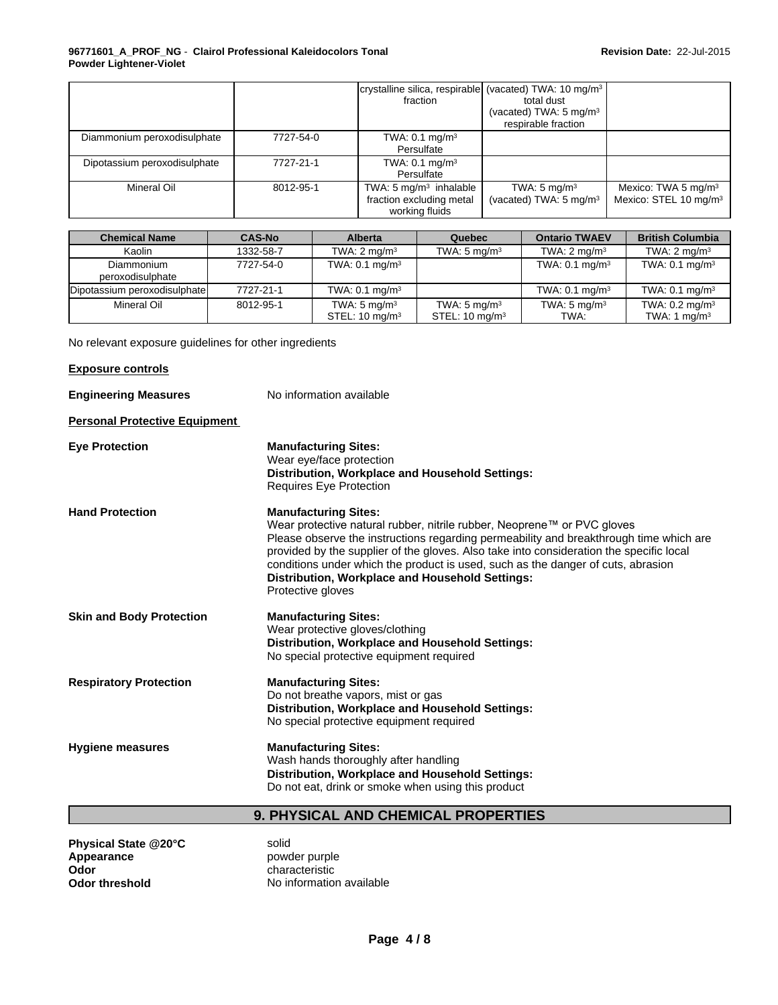|                              |           | crystalline silica, respirable (vacated) TWA: 10 mg/m <sup>3</sup>              |                                                               |                                                                      |
|------------------------------|-----------|---------------------------------------------------------------------------------|---------------------------------------------------------------|----------------------------------------------------------------------|
|                              |           | fraction                                                                        | total dust                                                    |                                                                      |
|                              |           |                                                                                 | (vacated) TWA: 5 mg/m <sup>3</sup>                            |                                                                      |
|                              |           |                                                                                 | respirable fraction                                           |                                                                      |
| Diammonium peroxodisulphate  | 7727-54-0 | TWA: $0.1 \text{ mg/m}^3$<br>Persulfate                                         |                                                               |                                                                      |
| Dipotassium peroxodisulphate | 7727-21-1 | TWA: $0.1 \text{ mg/m}^3$<br>Persulfate                                         |                                                               |                                                                      |
| Mineral Oil                  | 8012-95-1 | TWA: $5 \text{ mg/m}^3$ inhalable<br>fraction excluding metal<br>working fluids | TWA: $5 \text{ mg/m}^3$<br>(vacated) TWA: 5 mg/m <sup>3</sup> | Mexico: TWA 5 mg/m <sup>3</sup><br>Mexico: STEL 10 mg/m <sup>3</sup> |

| <b>Chemical Name</b>           | <b>CAS-No</b> | <b>Alberta</b>                                       | Quebec                                               | <b>Ontario TWAEV</b>            | <b>British Columbia</b>                     |
|--------------------------------|---------------|------------------------------------------------------|------------------------------------------------------|---------------------------------|---------------------------------------------|
| Kaolin                         | 1332-58-7     | TWA: $2 \text{ mq/m}^3$                              | TWA: $5 \text{ mg/m}^3$                              | TWA: $2 \text{ mq/m}^3$         | TWA: $2 \text{ mq/m}^3$                     |
| Diammonium<br>peroxodisulphate | 7727-54-0     | TWA: $0.1 \text{ mg/m}^3$                            |                                                      | TWA: $0.1$ mg/m <sup>3</sup>    | TWA: $0.1 \text{ mg/m}^3$                   |
| Dipotassium peroxodisulphate   | 7727-21-1     | TWA: $0.1 \text{ mg/m}^3$                            |                                                      | TWA: $0.1$ mg/m <sup>3</sup>    | TWA: $0.1 \text{ mg/m}^3$                   |
| Mineral Oil                    | 8012-95-1     | TWA: $5 \text{ mg/m}^3$<br>STEL: $10 \text{ mg/m}^3$ | TWA: $5 \text{ mg/m}^3$<br>STEL: $10 \text{ mg/m}^3$ | TWA: $5 \text{ mg/m}^3$<br>TWA: | TWA: $0.2 \text{ mg/m}^3$<br>TWA: 1 $mq/m3$ |

No relevant exposure guidelines for other ingredients

### **Exposure controls**

**Engineering Measures** No information available

### **Personal Protective Equipment**

| <b>Eye Protection</b>           | <b>Manufacturing Sites:</b><br>Wear eye/face protection<br>Distribution, Workplace and Household Settings:<br>Requires Eye Protection                                                                                                                                                                                                                                                                                                                   |
|---------------------------------|---------------------------------------------------------------------------------------------------------------------------------------------------------------------------------------------------------------------------------------------------------------------------------------------------------------------------------------------------------------------------------------------------------------------------------------------------------|
| <b>Hand Protection</b>          | <b>Manufacturing Sites:</b><br>Wear protective natural rubber, nitrile rubber, Neoprene™ or PVC gloves<br>Please observe the instructions regarding permeability and breakthrough time which are<br>provided by the supplier of the gloves. Also take into consideration the specific local<br>conditions under which the product is used, such as the danger of cuts, abrasion<br>Distribution, Workplace and Household Settings:<br>Protective gloves |
| <b>Skin and Body Protection</b> | <b>Manufacturing Sites:</b><br>Wear protective gloves/clothing<br>Distribution, Workplace and Household Settings:<br>No special protective equipment required                                                                                                                                                                                                                                                                                           |
| <b>Respiratory Protection</b>   | <b>Manufacturing Sites:</b><br>Do not breathe vapors, mist or gas<br>Distribution, Workplace and Household Settings:<br>No special protective equipment required                                                                                                                                                                                                                                                                                        |
| <b>Hygiene measures</b>         | <b>Manufacturing Sites:</b><br>Wash hands thoroughly after handling<br>Distribution, Workplace and Household Settings:<br>Do not eat, drink or smoke when using this product                                                                                                                                                                                                                                                                            |

# **9. PHYSICAL AND CHEMICAL PROPERTIES**

**Physical State @20°C** solid<br> **Appearance** powd **Appearance example powder purple**<br> **Odor Characteristic Odor**<br> **Odor threshold**<br> **Odor threshold**<br> **COD CO CO COND COND COND COND COND COND COND COND COND COND** 

**No information available**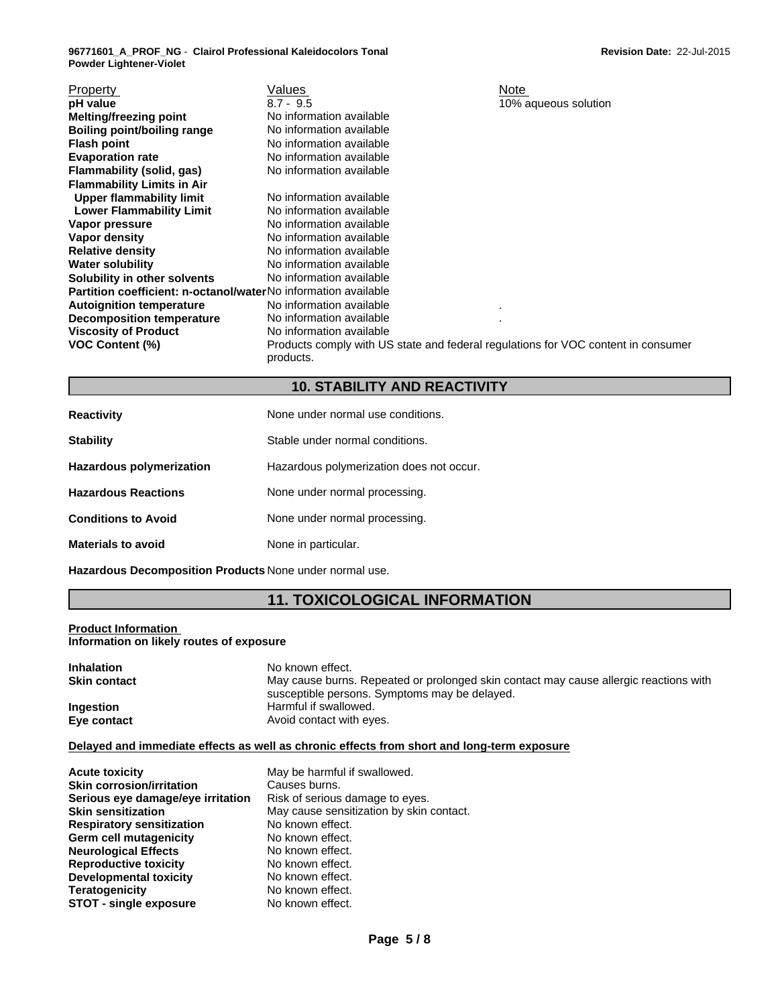| Property                                                              | Values                                                                                         | Note                 |
|-----------------------------------------------------------------------|------------------------------------------------------------------------------------------------|----------------------|
| pH value                                                              | $8.7 - 9.5$                                                                                    | 10% aqueous solution |
| <b>Melting/freezing point</b>                                         | No information available                                                                       |                      |
| <b>Boiling point/boiling range</b>                                    | No information available                                                                       |                      |
| <b>Flash point</b>                                                    | No information available                                                                       |                      |
| <b>Evaporation rate</b>                                               | No information available                                                                       |                      |
| Flammability (solid, gas)                                             | No information available                                                                       |                      |
| <b>Flammability Limits in Air</b>                                     |                                                                                                |                      |
| Upper flammability limit                                              | No information available                                                                       |                      |
| <b>Lower Flammability Limit</b>                                       | No information available                                                                       |                      |
| Vapor pressure                                                        | No information available                                                                       |                      |
| Vapor density                                                         | No information available                                                                       |                      |
| <b>Relative density</b>                                               | No information available                                                                       |                      |
| <b>Water solubility</b>                                               | No information available                                                                       |                      |
| Solubility in other solvents                                          | No information available                                                                       |                      |
| <b>Partition coefficient: n-octanol/waterNo</b> information available |                                                                                                |                      |
| <b>Autoignition temperature</b>                                       | No information available                                                                       | ٠.                   |
| <b>Decomposition temperature</b>                                      | No information available                                                                       |                      |
| <b>Viscosity of Product</b>                                           | No information available                                                                       |                      |
| <b>VOC Content (%)</b>                                                | Products comply with US state and federal regulations for VOC content in consumer<br>products. |                      |

## **10. STABILITY AND REACTIVITY**

| <b>Reactivity</b>               | None under normal use conditions.        |
|---------------------------------|------------------------------------------|
| <b>Stability</b>                | Stable under normal conditions.          |
| <b>Hazardous polymerization</b> | Hazardous polymerization does not occur. |
| <b>Hazardous Reactions</b>      | None under normal processing.            |
| <b>Conditions to Avoid</b>      | None under normal processing.            |
| <b>Materials to avoid</b>       | None in particular.                      |

**Hazardous Decomposition Products** None under normal use.

# **11. TOXICOLOGICAL INFORMATION**

### **Product Information Information on likely routes of exposure**

| <b>Inhalation</b>   | No known effect.                                                                      |
|---------------------|---------------------------------------------------------------------------------------|
| <b>Skin contact</b> | May cause burns. Repeated or prolonged skin contact may cause allergic reactions with |
|                     | susceptible persons. Symptoms may be delayed.                                         |
| <b>Ingestion</b>    | Harmful if swallowed.                                                                 |
| Eye contact         | Avoid contact with eyes.                                                              |

### **Delayed and immediate effects as well as chronic effects from short and long-term exposure**

| <b>Acute toxicity</b>             | May be harmful if swallowed.             |
|-----------------------------------|------------------------------------------|
| <b>Skin corrosion/irritation</b>  | Causes burns.                            |
| Serious eye damage/eye irritation | Risk of serious damage to eyes.          |
| <b>Skin sensitization</b>         | May cause sensitization by skin contact. |
| <b>Respiratory sensitization</b>  | No known effect.                         |
| Germ cell mutagenicity            | No known effect.                         |
| <b>Neurological Effects</b>       | No known effect.                         |
| <b>Reproductive toxicity</b>      | No known effect.                         |
| <b>Developmental toxicity</b>     | No known effect.                         |
| <b>Teratogenicity</b>             | No known effect.                         |
| <b>STOT - single exposure</b>     | No known effect.                         |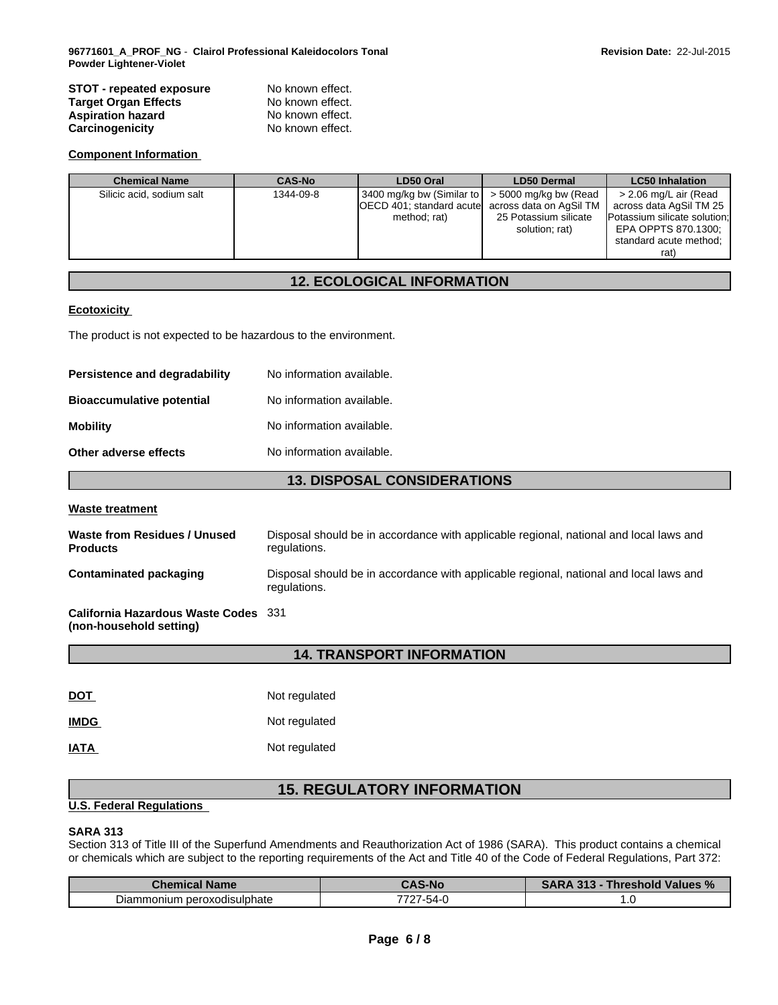### **STOT - repeated exposure** No known effect.<br> **Target Organ Effects No known effect. Target Organ Effects** No known effect.<br> **Aspiration hazard** No known effect. **Aspiration hazard** No known effect.<br> **Carcinogenicity** No known effect. **Carcinogenicity**

### **Component Information**

| <b>Chemical Name</b>      | <b>CAS-No</b> | LD50 Oral                                                                                                                 | <b>LD50 Dermal</b>                      | <b>LC50 Inhalation</b>                                                                                                                    |
|---------------------------|---------------|---------------------------------------------------------------------------------------------------------------------------|-----------------------------------------|-------------------------------------------------------------------------------------------------------------------------------------------|
| Silicic acid, sodium salt | 1344-09-8     | 3400 mg/kg bw (Similar to $\sim$ 5000 mg/kg bw (Read<br>OECD 401; standard acutel across data on AgSil TM<br>method; rat) | 25 Potassium silicate<br>solution; rat) | > 2.06 mg/L air (Read<br>across data AgSil TM 25<br>Potassium silicate solution;<br>EPA OPPTS 870.1300;<br>standard acute method;<br>rat) |

### **12. ECOLOGICAL INFORMATION**

### **Ecotoxicity**

The product is not expected to be hazardous to the environment.

| Persistence and degradability    | No information available. |
|----------------------------------|---------------------------|
| <b>Bioaccumulative potential</b> | No information available. |
| <b>Mobility</b>                  | No information available. |
| Other adverse effects            | No information available. |

### **13. DISPOSAL CONSIDERATIONS**

#### **Waste treatment**

| Waste from Residues / Unused<br><b>Products</b>                 | Disposal should be in accordance with applicable regional, national and local laws and<br>regulations. |
|-----------------------------------------------------------------|--------------------------------------------------------------------------------------------------------|
| Contaminated packaging                                          | Disposal should be in accordance with applicable regional, national and local laws and<br>regulations. |
| California Hazardous Waste Codes 331<br>(non-household setting) |                                                                                                        |

### **14. TRANSPORT INFORMATION**

| <b>DOT</b>  | Not regulated |
|-------------|---------------|
| <b>IMDG</b> | Not regulated |
| <b>IATA</b> | Not regulated |

# **15. REGULATORY INFORMATION**

### **U.S. Federal Regulations**

### **SARA 313**

Section 313 of Title III of the Superfund Amendments and Reauthorization Act of 1986 (SARA). This product contains a chemical or chemicals which are subject to the reporting requirements of the Act and Title 40 of the Code of Federal Regulations, Part 372:

| <b>Chemical Name</b>                      | <b>CAS-No</b>                               | 242<br>Threshold Values % \ |
|-------------------------------------------|---------------------------------------------|-----------------------------|
| -<br>i peroxodisulphate<br>Diammon<br>ium | $ \cdot$<br>7707<br>-54-1<br>1 L<br>$\cdot$ | $\cdot\cdot$                |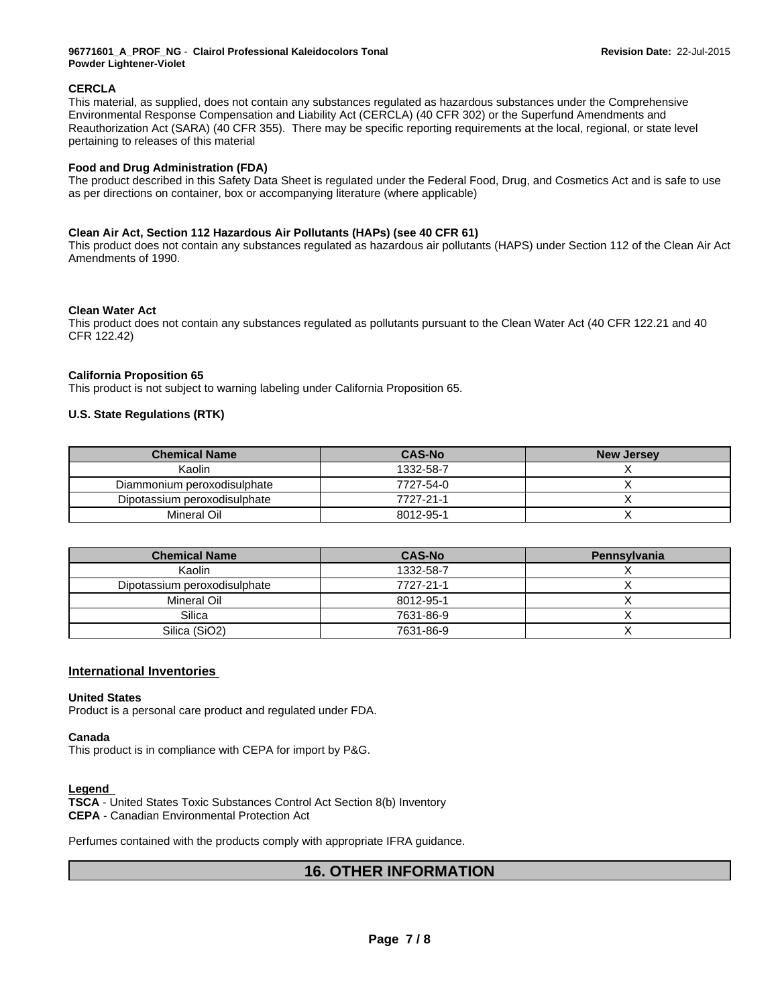### **CERCLA**

This material, as supplied, does not contain any substances regulated as hazardous substances under the Comprehensive Environmental Response Compensation and Liability Act (CERCLA) (40 CFR 302) or the Superfund Amendments and Reauthorization Act (SARA) (40 CFR 355). There may be specific reporting requirements at the local, regional, or state level pertaining to releases of this material

### **Food and Drug Administration (FDA)**

The product described in this Safety Data Sheet is regulated under the Federal Food, Drug, and Cosmetics Act and is safe to use as per directions on container, box or accompanying literature (where applicable)

### **Clean Air Act, Section 112 Hazardous Air Pollutants (HAPs) (see 40 CFR 61)**

This product does not contain any substances regulated as hazardous air pollutants (HAPS) under Section 112 of the Clean Air Act Amendments of 1990.

### **Clean Water Act**

This product does not contain any substances regulated as pollutants pursuant to the Clean Water Act (40 CFR 122.21 and 40 CFR 122.42)

### **California Proposition 65**

This product is not subject to warning labeling under California Proposition 65.

### **U.S. State Regulations (RTK)**

| <b>Chemical Name</b>         | <b>CAS-No</b> | <b>New Jersey</b> |
|------------------------------|---------------|-------------------|
| Kaolin                       | 1332-58-7     |                   |
| Diammonium peroxodisulphate  | 7727-54-0     |                   |
| Dipotassium peroxodisulphate | 7727-21-1     |                   |
| Mineral Oil                  | 8012-95-1     |                   |

| <b>Chemical Name</b>         | <b>CAS-No</b> | Pennsylvania |
|------------------------------|---------------|--------------|
| Kaolin                       | 1332-58-7     |              |
| Dipotassium peroxodisulphate | 7727-21-1     |              |
| Mineral Oil                  | 8012-95-1     |              |
| Silica                       | 7631-86-9     |              |
| Silica (SiO2)                | 7631-86-9     |              |

### **International Inventories**

#### **United States**

Product is a personal care product and regulated under FDA.

#### **Canada**

This product is in compliance with CEPA for import by P&G.

### **Legend**

**TSCA** - United States Toxic Substances Control Act Section 8(b) Inventory **CEPA** - Canadian Environmental Protection Act

Perfumes contained with the products comply with appropriate IFRA guidance.

### **16. OTHER INFORMATION**